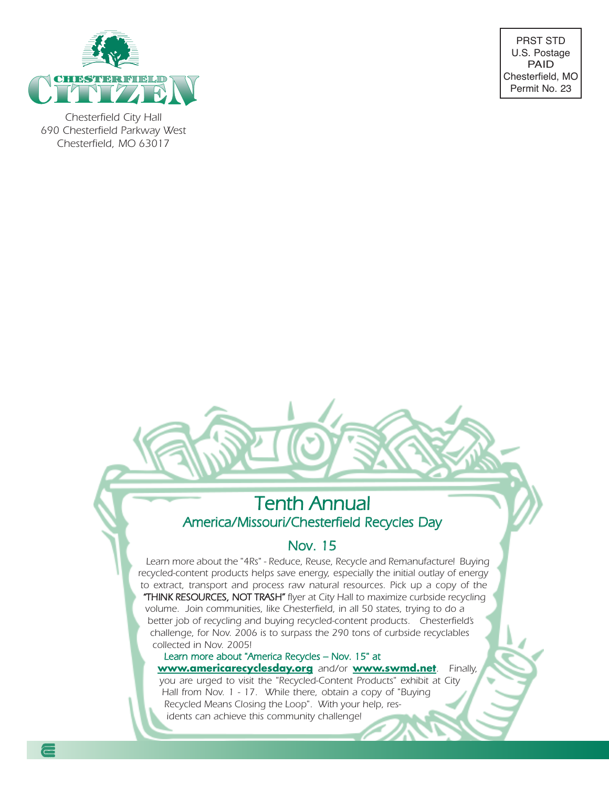

Chesterfield City Hall 690 Chesterfield Parkway West Chesterfield, MO 63017

PRST STD U.S. Postage PAID Chesterfield, MO Permit No. 23

### Tenth Annual America/Missouri/Chesterfield Recycles Day

### Nov. 15

Learn more about the "4Rs" - Reduce, Reuse, Recycle and Remanufacture! Buying recycled-content products helps save energy, especially the initial outlay of energy to extract, transport and process raw natural resources. Pick up a copy of the "THINK RESOURCES, NOT TRASH" flyer at City Hall to maximize curbside recycling volume. Join communities, like Chesterfield, in all 50 states, trying to do a better job of recycling and buying recycled-content products. Chesterfield's challenge, for Nov. 2006 is to surpass the 290 tons of curbside recyclables collected in Nov. 2005!

#### Learn more about "America Recycles – Nov. 15" at

**www.americarecyclesday.org** and/or **www.swmd.net**. Finally, you are urged to visit the "Recycled-Content Products" exhibit at City

Hall from Nov. 1 - 17. While there, obtain a copy of "Buying Recycled Means Closing the Loop". With your help, residents can achieve this community challenge!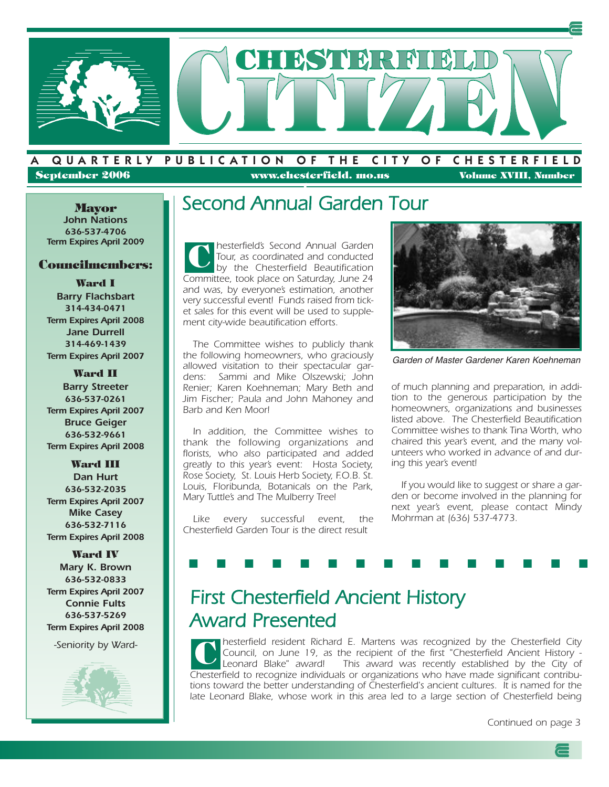

**September 2006 www.chesterfield. mo.us Volume XVIII, Number**

A QUARTERLY PUBLICATION OF THE CITY OF CHESTERFIELD

#### **John Nations 636-537-4706 Term Expires April 2009**

#### **Councilmembers:**

**Ward I Barry Flachsbart 314-434-0471 Term Expires April 2008 Jane Durrell 314-469-1439 Term Expires April 2007**

**Ward II Barry Streeter 636-537-0261 Term Expires April 2007 Bruce Geiger 636-532-9661 Term Expires April 2008**

#### **Ward III**

**Dan Hurt 636-532-2035 Term Expires April 2007 Mike Casey 636-532-7116 Term Expires April 2008**

**Ward IV Mary K. Brown 636-532-0833 Term Expires April 2007 Connie Fults 636-537-5269 Term Expires April 2008**

-Seniority by Ward-



#### **1 Mayor** Second Annual Garden Tour

hesterfield's Second Annual Garden Tour, as coordinated and conducted by the Chesterfield Beautification Committee, took place on Saturday, June 24 and was, by everyone's estimation, another very successful event! Funds raised from ticket sales for this event will be used to supplement city-wide beautification efforts. **C**

The Committee wishes to publicly thank the following homeowners, who graciously allowed visitation to their spectacular gardens: Sammi and Mike Olszewski; John Renier; Karen Koehneman; Mary Beth and Jim Fischer; Paula and John Mahoney and Barb and Ken Moor!

In addition, the Committee wishes to thank the following organizations and florists, who also participated and added greatly to this year's event: Hosta Society, Rose Society, St. Louis Herb Society, F.O.B. St. Louis, Floribunda, Botanicals on the Park, Mary Tuttle's and The Mulberry Tree!

Like every successful event, the Chesterfield Garden Tour is the direct result



Garden of Master Gardener Karen Koehneman

of much planning and preparation, in addition to the generous participation by the homeowners, organizations and businesses listed above. The Chesterfield Beautification Committee wishes to thank Tina Worth, who chaired this year's event, and the many volunteers who worked in advance of and during this year's event!

If you would like to suggest or share a garden or become involved in the planning for next year's event, please contact Mindy Mohrman at (636) 537-4773.

## First Chesterfield Ancient History Award Presented

hesterfield resident Richard E. Martens was recognized by the Chesterfield City Council, on June 19, as the recipient of the first "Chesterfield Ancient History - Leonard Blake" award! This award was recently established by the City of Chesterfield to recognize individuals or organizations who have made significant contributions toward the better understanding of Chesterfield's ancient cultures. It is named for the late Leonard Blake, whose work in this area led to a large section of Chesterfield being **C**

■ ■ ■ ■ ■ ■ ■ ■ ■ ■ ■ ■ ■ ■ ■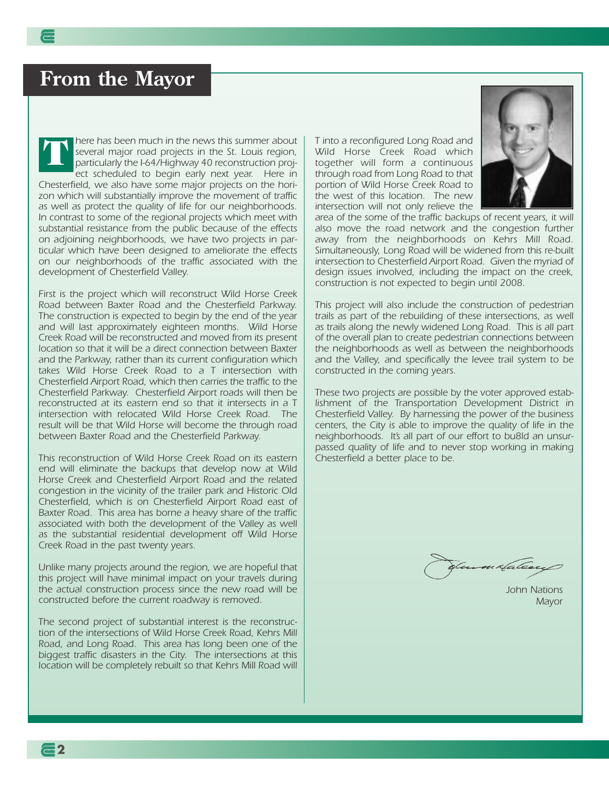### **From the Mayor**

here has been much in the news this summer about several major road projects in the St. Louis region, particularly the I-64/Highway 40 reconstruction project scheduled to begin early next year. Here in Chesterfield, we also have some major projects on the horizon which will substantially improve the movement of traffic as well as protect the quality of life for our neighborhoods. In contrast to some of the regional projects which meet with substantial resistance from the public because of the effects on adjoining neighborhoods, we have two projects in particular which have been designed to ameliorate the effects on our neighborhoods of the traffic associated with the development of Chesterfield Valley. **T**

First is the project which will reconstruct Wild Horse Creek Road between Baxter Road and the Chesterfield Parkway. The construction is expected to begin by the end of the year and will last approximately eighteen months. Wild Horse Creek Road will be reconstructed and moved from its present location so that it will be a direct connection between Baxter and the Parkway, rather than its current configuration which takes Wild Horse Creek Road to a T intersection with Chesterfield Airport Road, which then carries the traffic to the Chesterfield Parkway. Chesterfield Airport roads will then be reconstructed at its eastern end so that it intersects in a T intersection with relocated Wild Horse Creek Road. The result will be that Wild Horse will become the through road between Baxter Road and the Chesterfield Parkway.

This reconstruction of Wild Horse Creek Road on its eastern end will eliminate the backups that develop now at Wild Horse Creek and Chesterfield Airport Road and the related congestion in the vicinity of the trailer park and Historic Old Chesterfield, which is on Chesterfield Airport Road east of Baxter Road. This area has borne a heavy share of the traffic associated with both the development of the Valley as well as the substantial residential development off Wild Horse Creek Road in the past twenty years.

Unlike many projects around the region, we are hopeful that this project will have minimal impact on your travels during the actual construction process since the new road will be constructed before the current roadway is removed.

The second project of substantial interest is the reconstruction of the intersections of Wild Horse Creek Road, Kehrs Mill Road, and Long Road. This area has long been one of the biggest traffic disasters in the City. The intersections at this location will be completely rebuilt so that Kehrs Mill Road will

**2**

T into a reconfigured Long Road and Wild Horse Creek Road which together will form a continuous through road from Long Road to that portion of Wild Horse Creek Road to the west of this location. The new intersection will not only relieve the



area of the some of the traffic backups of recent years, it will also move the road network and the congestion further away from the neighborhoods on Kehrs Mill Road. Simultaneously, Long Road will be widened from this re-built intersection to Chesterfield Airport Road. Given the myriad of design issues involved, including the impact on the creek, construction is not expected to begin until 2008.

This project will also include the construction of pedestrian trails as part of the rebuilding of these intersections, as well as trails along the newly widened Long Road. This is all part of the overall plan to create pedestrian connections between the neighborhoods as well as between the neighborhoods and the Valley, and specifically the levee trail system to be constructed in the coming years.

These two projects are possible by the voter approved establishment of the Transportation Development District in Chesterfield Valley. By harnessing the power of the business centers, the City is able to improve the quality of life in the neighborhoods. It's all part of our effort to bu8ld an unsurpassed quality of life and to never stop working in making Chesterfield a better place to be.

4a te

John Nations Mayor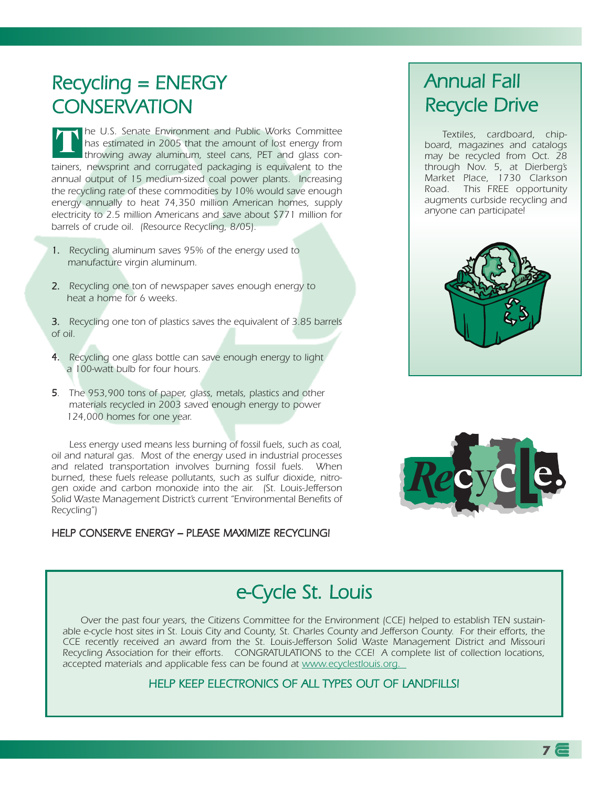## Recycling = ENERGY **CONSERVATION**

he U.S. Senate Environment and Public Works Committee has estimated in 2005 that the amount of lost energy from throwing away aluminum, steel cans, PET and glass containers, newsprint and corrugated packaging is equivalent to the annual output of 15 medium-sized coal power plants. Increasing the recycling rate of these commodities by 10% would save enough energy annually to heat 74,350 million American homes, supply electricity to 2.5 million Americans and save about \$771 million for barrels of crude oil. (Resource Recycling, 8/05). **T**

- 1. Recycling aluminum saves 95% of the energy used to manufacture virgin aluminum.
- 2. Recycling one ton of newspaper saves enough energy to heat a home for 6 weeks.
- 3. Recycling one ton of plastics saves the equivalent of 3.85 barrels of oil.
- 4. Recycling one glass bottle can save enough energy to light a 100-watt bulb for four hours.
- 5. The 953,900 tons of paper, glass, metals, plastics and other materials recycled in 2003 saved enough energy to power 124,000 homes for one year.

Less energy used means less burning of fossil fuels, such as coal, oil and natural gas. Most of the energy used in industrial processes and related transportation involves burning fossil fuels. When burned, these fuels release pollutants, such as sulfur dioxide, nitrogen oxide and carbon monoxide into the air. (St. Louis-Jefferson Solid Waste Management District's current "Environmental Benefits of Recycling")

#### HELP CONSERVE ENERGY – PLEASE MAXIMIZE RECYCLING!

### Annual Fall Recycle Drive

Textiles, cardboard, chipboard, magazines and catalogs may be recycled from Oct. 28 through Nov. 5, at Dierberg's Market Place, 1730 Clarkson Road. This FREE opportunity augments curbside recycling and anyone can participate!





### e-Cycle St. Louis

Over the past four years, the Citizens Committee for the Environment (CCE) helped to establish TEN sustainable e-cycle host sites in St. Louis City and County, St. Charles County and Jefferson County. For their efforts, the CCE recently received an award from the St. Louis-Jefferson Solid Waste Management District and Missouri Recycling Association for their efforts. CONGRATULATIONS to the CCE! A complete list of collection locations, accepted materials and applicable fess can be found at www.ecyclestlouis.org.

#### HELP KEEP ELECTRONICS OF ALL TYPES OUT OF LANDFILLS!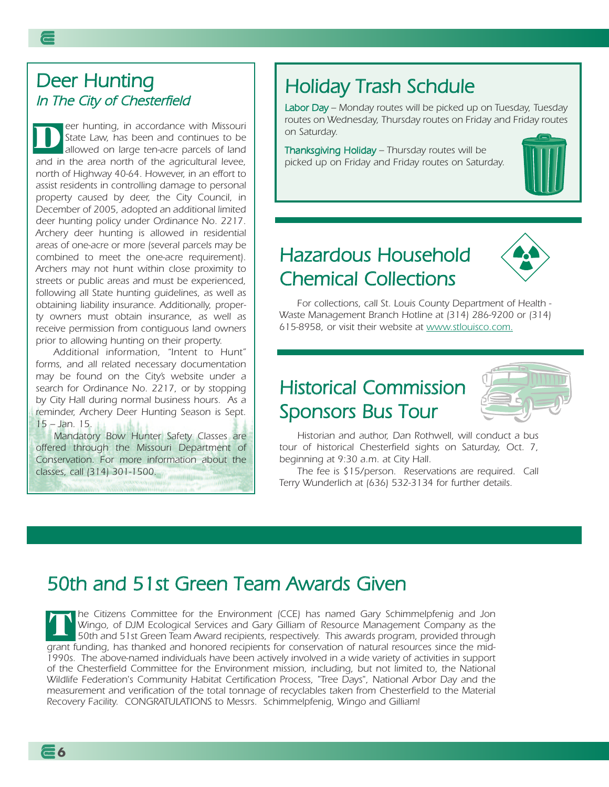### Deer Hunting In The City of Chesterfield

eer hunting, in accordance with Missouri State Law, has been and continues to be allowed on large ten-acre parcels of land and in the area north of the agricultural levee, north of Highway 40-64. However, in an effort to assist residents in controlling damage to personal property caused by deer, the City Council, in December of 2005, adopted an additional limited deer hunting policy under Ordinance No. 2217. Archery deer hunting is allowed in residential areas of one-acre or more (several parcels may be combined to meet the one-acre requirement). Archers may not hunt within close proximity to streets or public areas and must be experienced, following all State hunting guidelines, as well as obtaining liability insurance. Additionally, property owners must obtain insurance, as well as receive permission from contiguous land owners prior to allowing hunting on their property. **D**

Additional information, "Intent to Hunt" forms, and all related necessary documentation may be found on the City's website under <sup>a</sup> search for Ordinance No. 2217, or by stopping by City Hall during normal business hours. As <sup>a</sup> reminder, Archery Deer Hunting Season is Sept. 15 – Jan. 15.

Mandatory Bow Hunter Safety Classes are offered through the Missouri Department of Conservation. For more information about the classes, call (314) 301-1500.

**6**

### Holiday Trash Schdule

Labor Day – Monday routes will be picked up on Tuesday, Tuesday routes on Wednesday, Thursday routes on Friday and Friday routes on Saturday.

Thanksgiving Holiday – Thursday routes will be picked up on Friday and Friday routes on Saturday.



### Hazardous Household Chemical Collections



For collections, call St. Louis County Department of Health - Waste Management Branch Hotline at (314) 286-9200 or (314) 615-8958, or visit their website at www.stlouisco.com.

### Historical Commission Sponsors Bus Tour



Historian and author, Dan Rothwell, will conduct a bus tour of historical Chesterfield sights on Saturday, Oct. 7, beginning at 9:30 a.m. at City Hall.

The fee is \$15/person. Reservations are required. Call Terry Wunderlich at (636) 532-3134 for further details.

### 50th and 51st Green Team Awards Given

**The Citizens Committee for the Environment (CCE) has named Gary Schimmelpfenig and Jon** Wingo, of DJM Ecological Services and Gary Gilliam of Resource Management Company as the 50th and 51st Green Team Award recipients, respectively. This awards program, provided through grant funding, has thanked and honored recipients for conservation of natural resources since the mid-1990s. The above-named individuals have been actively involved in a wide variety of activities in support of the Chesterfield Committee for the Environment mission, including, but not limited to, the National Wildlife Federation's Community Habitat Certification Process, "Tree Days", National Arbor Day and the measurement and verification of the total tonnage of recyclables taken from Chesterfield to the Material Recovery Facility. CONGRATULATIONS to Messrs. Schimmelpfenig, Wingo and Gilliam! **T**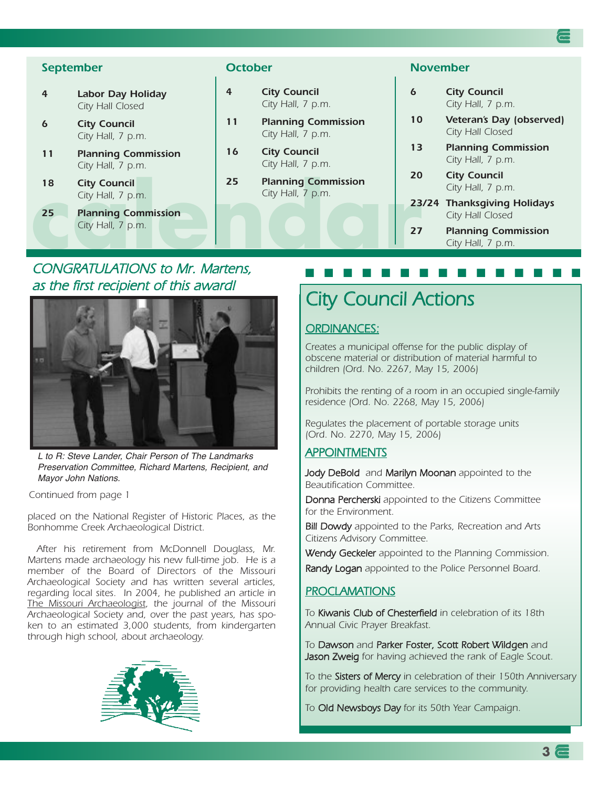#### **September**

- **4 Labor Day Holiday** City Hall Closed
- **6 City Council** City Hall, 7 p.m.
- **11 Planning Commission** City Hall, 7 p.m.
- **18 City Council** City Hall, 7 p.m.
- **18 City Council City Hall, 7 p.m. 25 Planning Commission City Hall, 7 p.m. 23 Planning Commission City Hall, 7 p.m. 23 Planning Commission City Hall, 7 p.m. 23 25 Planning Commission** City Hall, 7 p.m.

#### **October**

- **4 City Council** City Hall, 7 p.m.
- **11 Planning Commission** City Hall, 7 p.m.
- **16 City Council** City Hall, 7 p.m.
- **25 Planning Commission** City Hall, 7 p.m.

#### **November**

| 6     | <b>City Council</b><br>City Hall, 7 p.m.         |
|-------|--------------------------------------------------|
| 10    | Veteran's Day (observed)<br>City Hall Closed     |
| 13    | <b>Planning Commission</b><br>City Hall, 7 p.m.  |
| 20    | <b>City Council</b><br>City Hall, 7 p.m.         |
| 23/24 | <b>Thanksgiving Holidays</b><br>City Hall Closed |
| 27    | <b>Planning Commission</b><br>City Hall, 7 p.m.  |

■ ■ ■ ■ ■ ■ ■ ■ ■ ■ ■ ■ ■ ■ ■

#### CONGRATULATIONS to Mr. Martens, as the first recipient of this award!



L to R: Steve Lander, Chair Person of The Landmarks Preservation Committee, Richard Martens, Recipient, and Mayor John Nations.

Continued from page 1

placed on the National Register of Historic Places, as the Bonhomme Creek Archaeological District.

After his retirement from McDonnell Douglass, Mr. Martens made archaeology his new full-time job. He is a member of the Board of Directors of the Missouri Archaeological Society and has written several articles, regarding local sites. In 2004, he published an article in The Missouri Archaeologist, the journal of the Missouri Archaeological Society and, over the past years, has spoken to an estimated 3,000 students, from kindergarten through high school, about archaeology.



### City Council Actions

#### ORDINANCES:

Creates a municipal offense for the public display of obscene material or distribution of material harmful to children (Ord. No. 2267, May 15, 2006)

Prohibits the renting of a room in an occupied single-family residence (Ord. No. 2268, May 15, 2006)

Regulates the placement of portable storage units (Ord. No. 2270, May 15, 2006)

#### APPOINTMENTS

Jody DeBold and Marilyn Moonan appointed to the Beautification Committee.

Donna Percherski appointed to the Citizens Committee for the Environment.

**Bill Dowdy** appointed to the Parks, Recreation and Arts Citizens Advisory Committee.

Wendy Geckeler appointed to the Planning Commission.

Randy Logan appointed to the Police Personnel Board.

#### **PROCLAMATIONS**

To Kiwanis Club of Chesterfield in celebration of its 18th Annual Civic Prayer Breakfast.

To Dawson and Parker Foster, Scott Robert Wildgen and Jason Zweig for having achieved the rank of Eagle Scout.

To the Sisters of Mercy in celebration of their 150th Anniversary for providing health care services to the community.

To Old Newsboys Day for its 50th Year Campaign.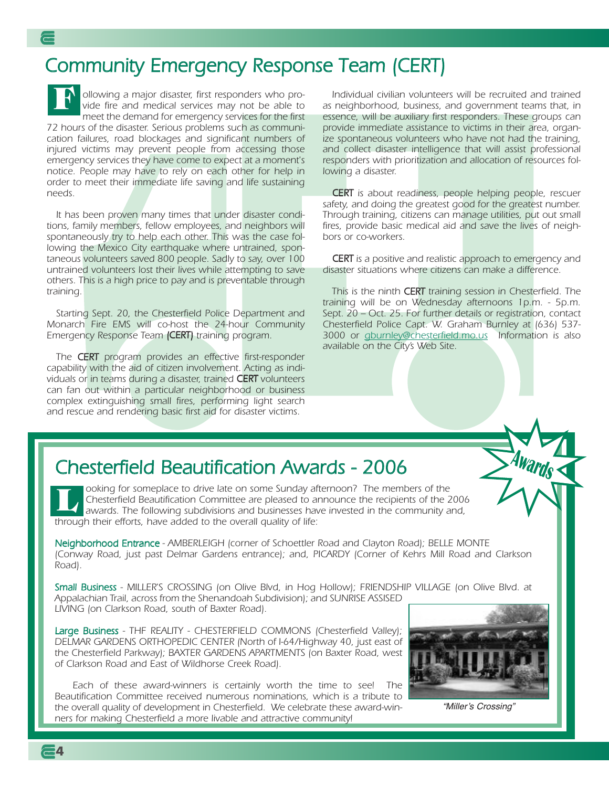### Community Emergency Response Team (CERT)

ollowing a major disaster, first responders who provide fire and medical services may not be able to meet the demand for emergency services for the first 72 hours of the disaster. Serious problems such as communication failures, road blockages and significant numbers of injured victims may prevent people from accessing those emergency services they have come to expect at a moment's notice. People may have to rely on each other for help in order to meet their immediate life saving and life sustaining needs. **F**

It has been proven many times that under disaster conditions, family members, fellow employees, and neighbors will spontaneously try to help each other. This was the case following the Mexico City earthquake where untrained, spontaneous volunteers saved 800 people. Sadly to say, over 100 untrained volunteers lost their lives while attempting to save others. This is a high price to pay and is preventable through training.

Starting Sept. 20, the Chesterfield Police Department and Monarch Fire EMS will co-host the 24-hour Community Emergency Response Team (CERT) training program.

The CERT program provides an effective first-responder capability with the aid of citizen involvement. Acting as individuals or in teams during a disaster, trained CERT volunteers can fan out within a particular neighborhood or business complex extinguishing small fires, performing light search and rescue and rendering basic first aid for disaster victims.

Individual civilian volunteers will be recruited and trained as neighborhood, business, and government teams that, in essence, will be auxiliary first responders. These groups can provide immediate assistance to victims in their area, organize spontaneous volunteers who have not had the training, and collect disaster intelligence that will assist professional responders with prioritization and allocation of resources following a disaster.

CERT is about readiness, people helping people, rescuer safety, and doing the greatest good for the greatest number. Through training, citizens can manage utilities, put out small fires, provide basic medical aid and save the lives of neighbors or co-workers.

**CERT** is a positive and realistic approach to emergency and disaster situations where citizens can make a difference.

This is the ninth CERT training session in Chesterfield. The training will be on Wednesday afternoons 1p.m. - 5p.m. Sept. 20 – Oct. 25. For further details or registration, contact Chesterfield Police Capt. W. Graham Burnley at (636) 537- 3000 or gburnley@chesterfield.mo.us Information is also available on the City's Web Site.

### **Chesterfield Beautification Awards - 2006**

ooking for someplace to drive late on some Sunday afternoon? The members of the Chesterfield Beautification Committee are pleased to announce the recipients of the 2006 awards. The following subdivisions and businesses have invested in the community and, through their efforts, have added to the overall quality of life: **L**

Neighborhood Entrance - AMBERLEIGH (corner of Schoettler Road and Clayton Road); BELLE MONTE (Conway Road, just past Delmar Gardens entrance); and, PICARDY (Corner of Kehrs Mill Road and Clarkson Road).

Small Business - MILLER'S CROSSING (on Olive Blvd, in Hog Hollow); FRIENDSHIP VILLAGE (on Olive Blvd. at Appalachian Trail, across from the Shenandoah Subdivision); and SUNRISE ASSISED LIVING (on Clarkson Road, south of Baxter Road).

Large Business - THF REALITY - CHESTERFIELD COMMONS (Chesterfield Valley); DELMAR GARDENS ORTHOPEDIC CENTER (North of I-64/Highway 40, just east of the Chesterfield Parkway); BAXTER GARDENS APARTMENTS (on Baxter Road, west of Clarkson Road and East of Wildhorse Creek Road).

Each of these award-winners is certainly worth the time to see! The Beautification Committee received numerous nominations, which is a tribute to the overall quality of development in Chesterfield. We celebrate these award-winners for making Chesterfield a more livable and attractive community!



"Miller's Crossing

三*0*